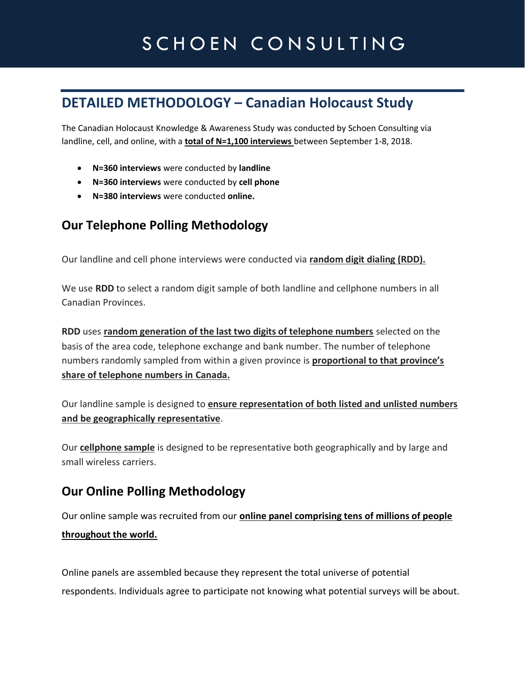# SCHOEN CONSULTING

## **DETAILED METHODOLOGY – Canadian Holocaust Study**

The Canadian Holocaust Knowledge & Awareness Study was conducted by Schoen Consulting via landline, cell, and online, with a **total of N=1,100 interviews** between September 1-8, 2018.

- **N=360 interviews** were conducted by **landline**
- **N=360 interviews** were conducted by **cell phone**
- **N=380 interviews** were conducted **online.**

#### **Our Telephone Polling Methodology**

Our landline and cell phone interviews were conducted via **random digit dialing (RDD).**

We use **RDD** to select a random digit sample of both landline and cellphone numbers in all Canadian Provinces.

**RDD** uses **random generation of the last two digits of telephone numbers** selected on the basis of the area code, telephone exchange and bank number. The number of telephone numbers randomly sampled from within a given province is **proportional to that province's share of telephone numbers in Canada.**

Our landline sample is designed to **ensure representation of both listed and unlisted numbers and be geographically representative**.

Our **cellphone sample** is designed to be representative both geographically and by large and small wireless carriers.

#### **Our Online Polling Methodology**

Our online sample was recruited from our **online panel comprising tens of millions of people throughout the world.** 

Online panels are assembled because they represent the total universe of potential respondents. Individuals agree to participate not knowing what potential surveys will be about.